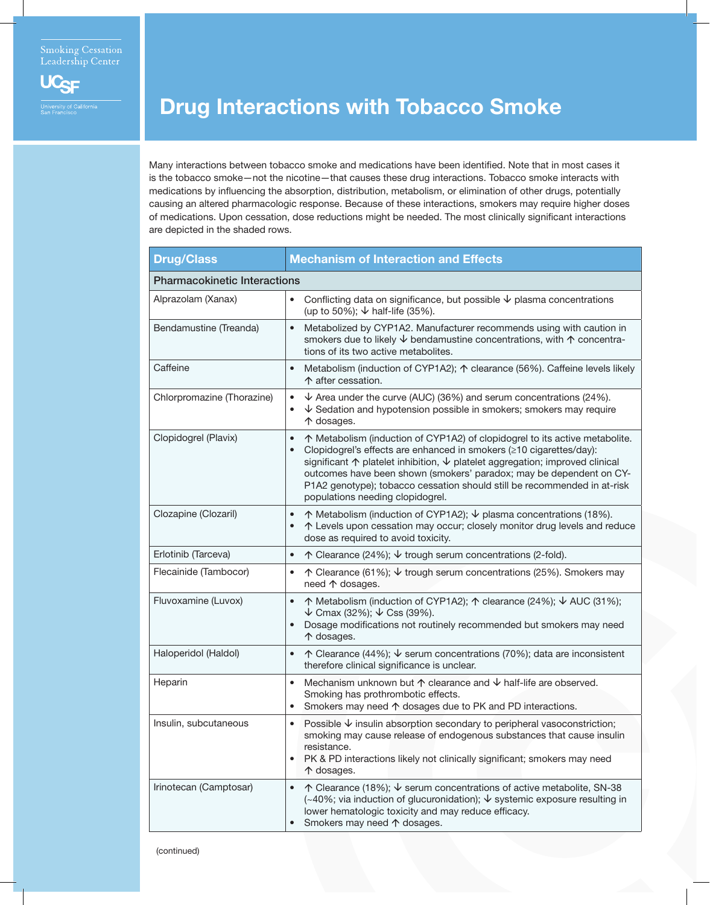

## Drug Interactions with Tobacco Smoke

Many interactions between tobacco smoke and medications have been identified. Note that in most cases it is the tobacco smoke—not the nicotine—that causes these drug interactions. Tobacco smoke interacts with medications by influencing the absorption, distribution, metabolism, or elimination of other drugs, potentially causing an altered pharmacologic response. Because of these interactions, smokers may require higher doses of medications. Upon cessation, dose reductions might be needed. The most clinically significant interactions are depicted in the shaded rows.

| <b>Drug/Class</b>                   | <b>Mechanism of Interaction and Effects</b>                                                                                                                                                                                                                                                                                                                                                                                                       |
|-------------------------------------|---------------------------------------------------------------------------------------------------------------------------------------------------------------------------------------------------------------------------------------------------------------------------------------------------------------------------------------------------------------------------------------------------------------------------------------------------|
| <b>Pharmacokinetic Interactions</b> |                                                                                                                                                                                                                                                                                                                                                                                                                                                   |
| Alprazolam (Xanax)                  | Conflicting data on significance, but possible $\psi$ plasma concentrations<br>$\bullet$<br>(up to 50%); $\sqrt{ }$ half-life (35%).                                                                                                                                                                                                                                                                                                              |
| Bendamustine (Treanda)              | Metabolized by CYP1A2. Manufacturer recommends using with caution in<br>$\bullet$<br>smokers due to likely $\downarrow$ bendamustine concentrations, with $\uparrow$ concentra-<br>tions of its two active metabolites.                                                                                                                                                                                                                           |
| Caffeine                            | Metabolism (induction of CYP1A2); ↑ clearance (56%). Caffeine levels likely<br>$\bullet$<br>↑ after cessation.                                                                                                                                                                                                                                                                                                                                    |
| Chlorpromazine (Thorazine)          | $\downarrow$ Area under the curve (AUC) (36%) and serum concentrations (24%).<br>$\bullet$<br>$\sqrt{\ }$ Sedation and hypotension possible in smokers; smokers may require<br>↑ dosages.                                                                                                                                                                                                                                                         |
| Clopidogrel (Plavix)                | ↑ Metabolism (induction of CYP1A2) of clopidogrel to its active metabolite.<br>$\bullet$<br>Clopidogrel's effects are enhanced in smokers (≥10 cigarettes/day):<br>significant ↑ platelet inhibition, $\downarrow$ platelet aggregation; improved clinical<br>outcomes have been shown (smokers' paradox; may be dependent on CY-<br>P1A2 genotype); tobacco cessation should still be recommended in at-risk<br>populations needing clopidogrel. |
| Clozapine (Clozaril)                | ↑ Metabolism (induction of CYP1A2); $\downarrow$ plasma concentrations (18%).<br>$\bullet$<br>↑ Levels upon cessation may occur; closely monitor drug levels and reduce<br>dose as required to avoid toxicity.                                                                                                                                                                                                                                    |
| Erlotinib (Tarceva)                 | $\uparrow$ Clearance (24%); $\downarrow$ trough serum concentrations (2-fold).<br>$\bullet$                                                                                                                                                                                                                                                                                                                                                       |
| Flecainide (Tambocor)               | ↑ Clearance (61%); $\sqrt{ }$ trough serum concentrations (25%). Smokers may<br>$\bullet$<br>need 个 dosages.                                                                                                                                                                                                                                                                                                                                      |
| Fluvoxamine (Luvox)                 | ↑ Metabolism (induction of CYP1A2); ↑ clearance (24%); ↓ AUC (31%);<br>$\bullet$<br>$\downarrow$ Cmax (32%); $\downarrow$ Css (39%).<br>Dosage modifications not routinely recommended but smokers may need<br>个 dosages.                                                                                                                                                                                                                         |
| Haloperidol (Haldol)                | $\uparrow$ Clearance (44%); $\downarrow$ serum concentrations (70%); data are inconsistent<br>$\bullet$<br>therefore clinical significance is unclear.                                                                                                                                                                                                                                                                                            |
| Heparin                             | Mechanism unknown but $\uparrow$ clearance and $\downarrow$ half-life are observed.<br>$\bullet$<br>Smoking has prothrombotic effects.<br>Smokers may need ↑ dosages due to PK and PD interactions.<br>$\bullet$                                                                                                                                                                                                                                  |
| Insulin, subcutaneous               | Possible $\overline{\mathsf{V}}$ insulin absorption secondary to peripheral vasoconstriction;<br>smoking may cause release of endogenous substances that cause insulin<br>resistance.<br>PK & PD interactions likely not clinically significant; smokers may need<br>$\bullet$<br>个 dosages.                                                                                                                                                      |
| Irinotecan (Camptosar)              | ↑ Clearance (18%); $\sqrt{ }$ serum concentrations of active metabolite, SN-38<br>$\bullet$<br>(~40%; via induction of glucuronidation); ↓ systemic exposure resulting in<br>lower hematologic toxicity and may reduce efficacy.<br>Smokers may need ↑ dosages.<br>$\bullet$                                                                                                                                                                      |